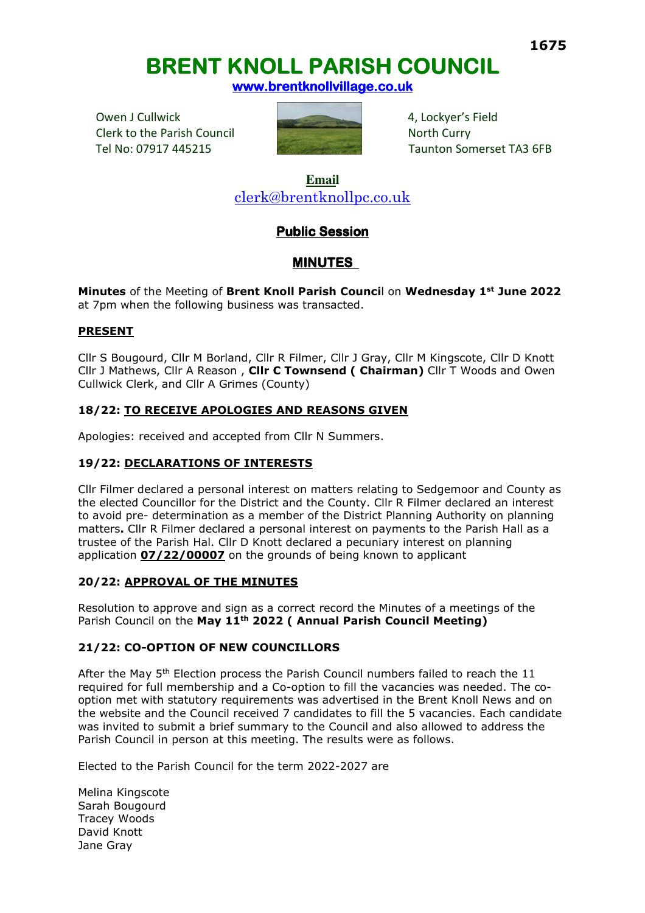# **<sup>1675</sup> BRENT KNOLL PARISH COUNCIL BRENT KNOLL PARISH COUNCIL**

**www.brentknollvillage.co.uk** 

Owen J Cullwick **4, Lockyer's Field** 4, Lockyer's Field Clerk to the Parish Council North Curry



Tel No: 07917 445215 Taunton Somerset TA3 6FB

**Email**  clerk@brentknollpc.co.uk

# **Public Session**

# **MINUTES**

**Minutes** of the Meeting of **Brent Knoll Parish Counci**l on **Wednesday 1st June 2022** at 7pm when the following business was transacted.

# **PRESENT**

Cllr S Bougourd, Cllr M Borland, Cllr R Filmer, Cllr J Gray, Cllr M Kingscote, Cllr D Knott Cllr J Mathews, Cllr A Reason , **Cllr C Townsend ( Chairman)** Cllr T Woods and Owen Cullwick Clerk, and Cllr A Grimes (County)

# **18/22: TO RECEIVE APOLOGIES AND REASONS GIVEN**

Apologies: received and accepted from Cllr N Summers.

# **19/22: DECLARATIONS OF INTERESTS**

Cllr Filmer declared a personal interest on matters relating to Sedgemoor and County as the elected Councillor for the District and the County. Cllr R Filmer declared an interest to avoid pre- determination as a member of the District Planning Authority on planning matters**.** Cllr R Filmer declared a personal interest on payments to the Parish Hall as a trustee of the Parish Hal. Cllr D Knott declared a pecuniary interest on planning application **07/22/00007** on the grounds of being known to applicant

# **20/22: APPROVAL OF THE MINUTES**

Resolution to approve and sign as a correct record the Minutes of a meetings of the Parish Council on the **May 11th 2022 ( Annual Parish Council Meeting)** 

# **21/22: CO-OPTION OF NEW COUNCILLORS**

After the May 5<sup>th</sup> Election process the Parish Council numbers failed to reach the 11 required for full membership and a Co-option to fill the vacancies was needed. The cooption met with statutory requirements was advertised in the Brent Knoll News and on the website and the Council received 7 candidates to fill the 5 vacancies. Each candidate was invited to submit a brief summary to the Council and also allowed to address the Parish Council in person at this meeting. The results were as follows.

Elected to the Parish Council for the term 2022-2027 are

Melina Kingscote Sarah Bougourd Tracey Woods David Knott Jane Gray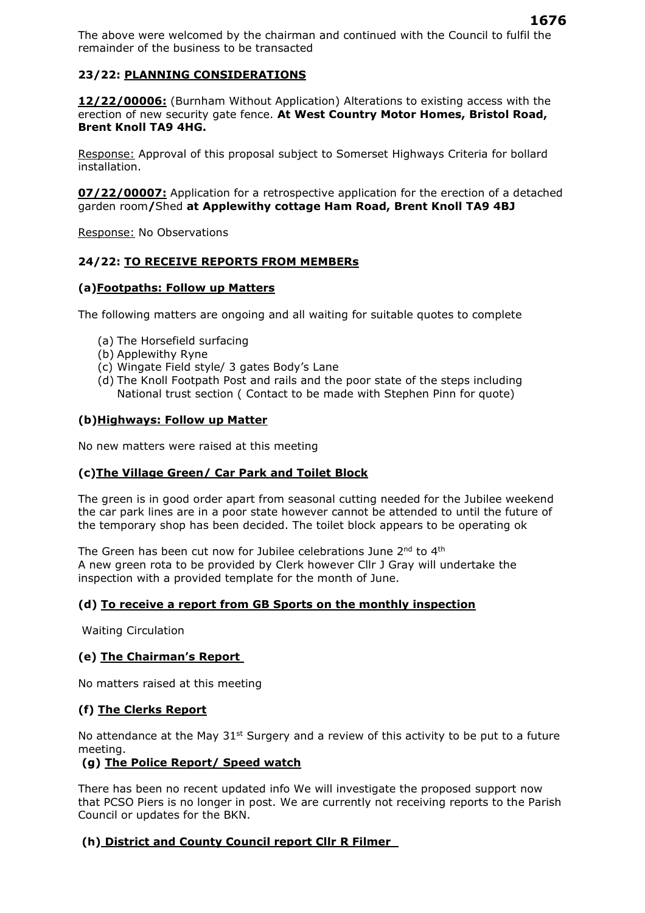The above were welcomed by the chairman and continued with the Council to fulfil the remainder of the business to be transacted

# **23/22: PLANNING CONSIDERATIONS**

**12/22/00006:** (Burnham Without Application) Alterations to existing access with the erection of new security gate fence. **At West Country Motor Homes, Bristol Road, Brent Knoll TA9 4HG.** 

Response: Approval of this proposal subject to Somerset Highways Criteria for bollard installation.

**07/22/00007:** Application for a retrospective application for the erection of a detached garden room**/**Shed **at Applewithy cottage Ham Road, Brent Knoll TA9 4BJ** 

Response: No Observations

#### **24/22: TO RECEIVE REPORTS FROM MEMBERs**

#### **(a)Footpaths: Follow up Matters**

The following matters are ongoing and all waiting for suitable quotes to complete

- (a) The Horsefield surfacing
- (b) Applewithy Ryne
- (c) Wingate Field style/ 3 gates Body's Lane
- (d) The Knoll Footpath Post and rails and the poor state of the steps including National trust section ( Contact to be made with Stephen Pinn for quote)

#### **(b)Highways: Follow up Matter**

No new matters were raised at this meeting

#### **(c)The Village Green/ Car Park and Toilet Block**

The green is in good order apart from seasonal cutting needed for the Jubilee weekend the car park lines are in a poor state however cannot be attended to until the future of the temporary shop has been decided. The toilet block appears to be operating ok

The Green has been cut now for Jubilee celebrations June 2<sup>nd</sup> to 4<sup>th</sup> A new green rota to be provided by Clerk however Cllr J Gray will undertake the inspection with a provided template for the month of June.

#### **(d) To receive a report from GB Sports on the monthly inspection**

Waiting Circulation

#### **(e) The Chairman's Report**

No matters raised at this meeting

#### **(f) The Clerks Report**

No attendance at the May  $31<sup>st</sup>$  Surgery and a review of this activity to be put to a future meeting.

# **(g) The Police Report/ Speed watch**

There has been no recent updated info We will investigate the proposed support now that PCSO Piers is no longer in post. We are currently not receiving reports to the Parish Council or updates for the BKN.

# **(h) District and County Council report Cllr R Filmer**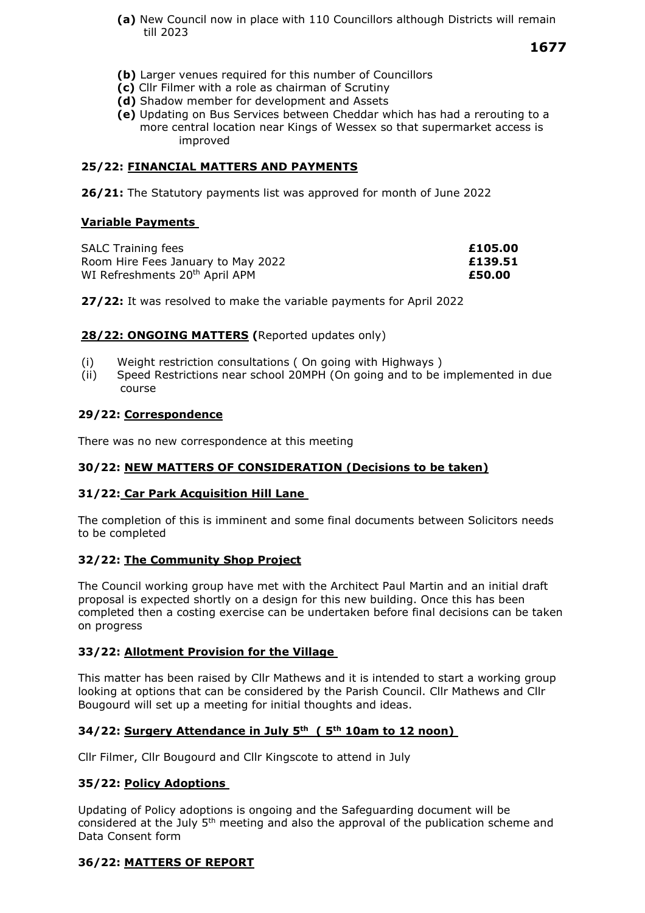**(a)** New Council now in place with 110 Councillors although Districts will remain till 2023

 **1677** 

- **(b)** Larger venues required for this number of Councillors
- **(c)** Cllr Filmer with a role as chairman of Scrutiny
- **(d)** Shadow member for development and Assets
- **(e)** Updating on Bus Services between Cheddar which has had a rerouting to a more central location near Kings of Wessex so that supermarket access is improved

# **25/22: FINANCIAL MATTERS AND PAYMENTS**

**26/21:** The Statutory payments list was approved for month of June 2022

#### **Variable Payments**

| <b>SALC Training fees</b>                  | £105.00 |
|--------------------------------------------|---------|
| Room Hire Fees January to May 2022         | £139.51 |
| WI Refreshments 20 <sup>th</sup> April APM | £50.00  |

**27/22:** It was resolved to make the variable payments for April 2022

#### 28/22: **ONGOING MATTERS** (Reported updates only)

- (i) Weight restriction consultations ( On going with Highways )
- (ii) Speed Restrictions near school 20MPH (On going and to be implemented in due course

#### **29/22: Correspondence**

There was no new correspondence at this meeting

# **30/22: NEW MATTERS OF CONSIDERATION (Decisions to be taken)**

#### **31/22: Car Park Acquisition Hill Lane**

The completion of this is imminent and some final documents between Solicitors needs to be completed 

# **32/22: The Community Shop Project**

The Council working group have met with the Architect Paul Martin and an initial draft proposal is expected shortly on a design for this new building. Once this has been completed then a costing exercise can be undertaken before final decisions can be taken on progress

#### **33/22: Allotment Provision for the Village**

This matter has been raised by Cllr Mathews and it is intended to start a working group looking at options that can be considered by the Parish Council. Cllr Mathews and Cllr Bougourd will set up a meeting for initial thoughts and ideas.

#### **34/22: Surgery Attendance in July 5th ( 5th 10am to 12 noon)**

Cllr Filmer, Cllr Bougourd and Cllr Kingscote to attend in July

# **35/22: Policy Adoptions**

Updating of Policy adoptions is ongoing and the Safeguarding document will be considered at the July 5th meeting and also the approval of the publication scheme and Data Consent form

# **36/22: MATTERS OF REPORT**